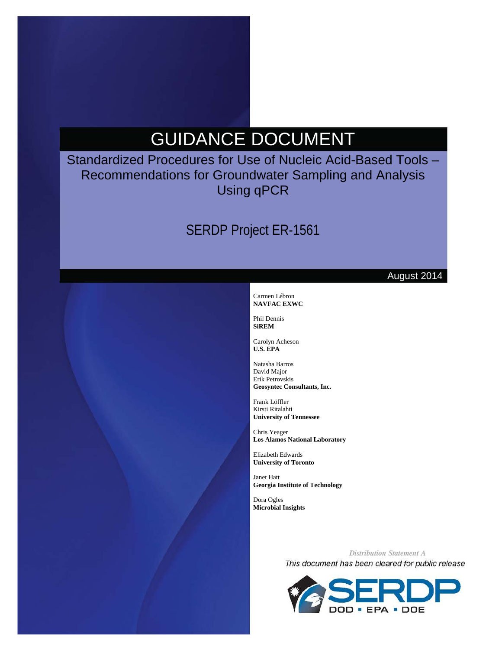# GUIDANCE DOCUMENT

Standardized Procedures for Use of Nucleic Acid-Based Tools – Recommendations for Groundwater Sampling and Analysis Using qPCR

# SERDP Project ER-1561

#### August 2014

#### Carmen Lébron **NAVFAC EXWC**

Phil Dennis **SiREM**

Carolyn Acheson **U.S. EPA**

Natasha Barros David Major Erik Petrovskis **Geosyntec Consultants, Inc.**

Frank Löffler Kirsti Ritalahti **University of Tennessee**

Chris Yeager **Los Alamos National Laboratory**

Elizabeth Edwards **University of Toronto**

Janet Hatt **Georgia Institute of Technology**

Dora Ogles **Microbial Insights**

> *Distribution Statement A*This document has been cleared for public release

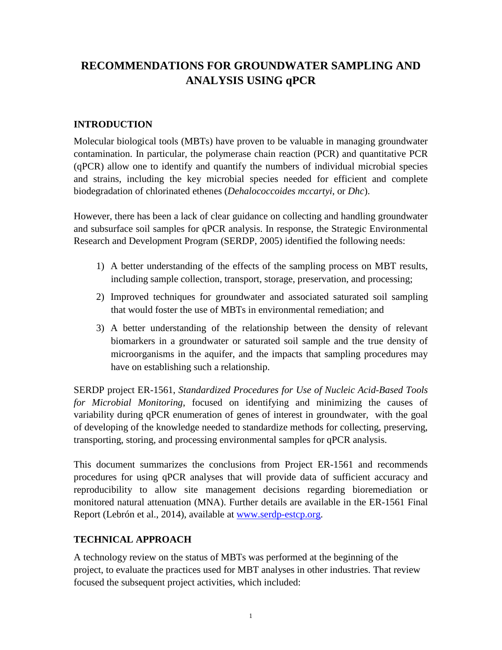# **RECOMMENDATIONS FOR GROUNDWATER SAMPLING AND ANALYSIS USING qPCR**

# **INTRODUCTION**

Molecular biological tools (MBTs) have proven to be valuable in managing groundwater contamination. In particular, the polymerase chain reaction (PCR) and quantitative PCR (qPCR) allow one to identify and quantify the numbers of individual microbial species and strains, including the key microbial species needed for efficient and complete biodegradation of chlorinated ethenes (*Dehalococcoides mccartyi*, or *Dhc*).

However, there has been a lack of clear guidance on collecting and handling groundwater and subsurface soil samples for qPCR analysis. In response, the Strategic Environmental Research and Development Program (SERDP, 2005) identified the following needs:

- 1) A better understanding of the effects of the sampling process on MBT results, including sample collection, transport, storage, preservation, and processing;
- 2) Improved techniques for groundwater and associated saturated soil sampling that would foster the use of MBTs in environmental remediation; and
- 3) A better understanding of the relationship between the density of relevant biomarkers in a groundwater or saturated soil sample and the true density of microorganisms in the aquifer, and the impacts that sampling procedures may have on establishing such a relationship.

SERDP project ER-1561, *Standardized Procedures for Use of Nucleic Acid-Based Tools for Microbial Monitoring*, focused on identifying and minimizing the causes of variability during qPCR enumeration of genes of interest in groundwater, with the goal of developing of the knowledge needed to standardize methods for collecting, preserving, transporting, storing, and processing environmental samples for qPCR analysis.

This document summarizes the conclusions from Project ER-1561 and recommends procedures for using qPCR analyses that will provide data of sufficient accuracy and reproducibility to allow site management decisions regarding bioremediation or monitored natural attenuation (MNA). Further details are available in the ER-1561 Final Report (Lebrón et al., 2014), available at [www.serdp-estcp.org.](http://www.serdp-estcp.org/)

## **TECHNICAL APPROACH**

A technology review on the status of MBTs was performed at the beginning of the project, to evaluate the practices used for MBT analyses in other industries. That review focused the subsequent project activities, which included: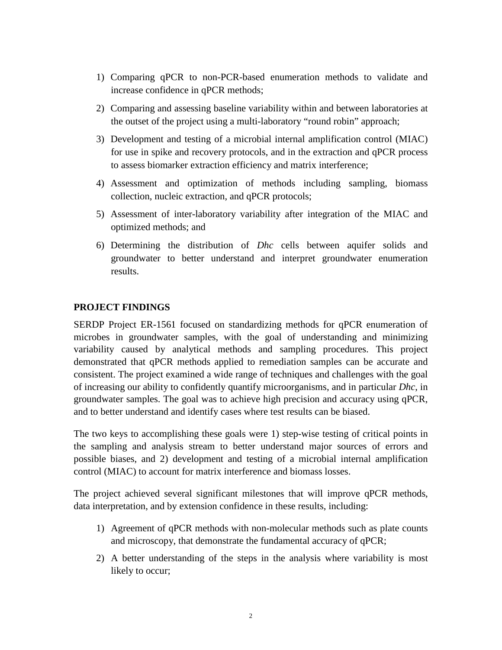- 1) Comparing qPCR to non-PCR-based enumeration methods to validate and increase confidence in qPCR methods;
- 2) Comparing and assessing baseline variability within and between laboratories at the outset of the project using a multi-laboratory "round robin" approach;
- 3) Development and testing of a microbial internal amplification control (MIAC) for use in spike and recovery protocols, and in the extraction and qPCR process to assess biomarker extraction efficiency and matrix interference;
- 4) Assessment and optimization of methods including sampling, biomass collection, nucleic extraction, and qPCR protocols;
- 5) Assessment of inter-laboratory variability after integration of the MIAC and optimized methods; and
- 6) Determining the distribution of *Dhc* cells between aquifer solids and groundwater to better understand and interpret groundwater enumeration results.

#### **PROJECT FINDINGS**

SERDP Project ER-1561 focused on standardizing methods for qPCR enumeration of microbes in groundwater samples, with the goal of understanding and minimizing variability caused by analytical methods and sampling procedures. This project demonstrated that qPCR methods applied to remediation samples can be accurate and consistent. The project examined a wide range of techniques and challenges with the goal of increasing our ability to confidently quantify microorganisms, and in particular *Dhc*, in groundwater samples. The goal was to achieve high precision and accuracy using qPCR, and to better understand and identify cases where test results can be biased.

The two keys to accomplishing these goals were 1) step-wise testing of critical points in the sampling and analysis stream to better understand major sources of errors and possible biases, and 2) development and testing of a microbial internal amplification control (MIAC) to account for matrix interference and biomass losses.

The project achieved several significant milestones that will improve qPCR methods, data interpretation, and by extension confidence in these results, including:

- 1) Agreement of qPCR methods with non-molecular methods such as plate counts and microscopy, that demonstrate the fundamental accuracy of qPCR;
- 2) A better understanding of the steps in the analysis where variability is most likely to occur;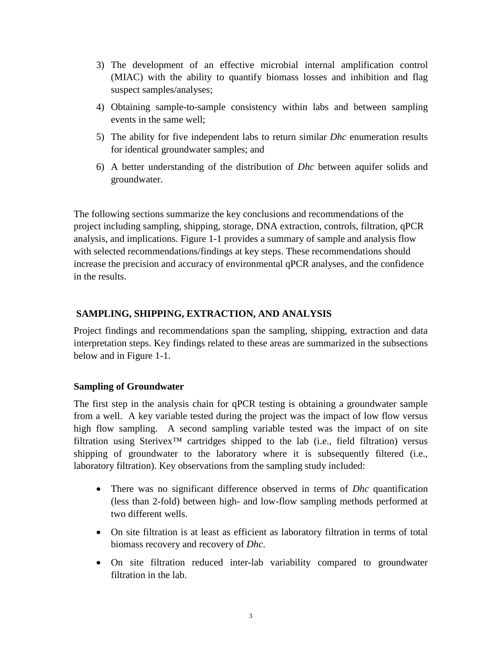- 3) The development of an effective microbial internal amplification control (MIAC) with the ability to quantify biomass losses and inhibition and flag suspect samples/analyses;
- 4) Obtaining sample-to-sample consistency within labs and between sampling events in the same well;
- 5) The ability for five independent labs to return similar *Dhc* enumeration results for identical groundwater samples; and
- 6) A better understanding of the distribution of *Dhc* between aquifer solids and groundwater.

The following sections summarize the key conclusions and recommendations of the project including sampling, shipping, storage, DNA extraction, controls, filtration, qPCR analysis, and implications. Figure 1-1 provides a summary of sample and analysis flow with selected recommendations/findings at key steps. These recommendations should increase the precision and accuracy of environmental qPCR analyses, and the confidence in the results.

#### **SAMPLING, SHIPPING, EXTRACTION, AND ANALYSIS**

Project findings and recommendations span the sampling, shipping, extraction and data interpretation steps. Key findings related to these areas are summarized in the subsections below and in Figure 1-1.

#### **Sampling of Groundwater**

The first step in the analysis chain for qPCR testing is obtaining a groundwater sample from a well. A key variable tested during the project was the impact of low flow versus high flow sampling. A second sampling variable tested was the impact of on site filtration using Sterivex<sup>TM</sup> cartridges shipped to the lab (i.e., field filtration) versus shipping of groundwater to the laboratory where it is subsequently filtered (i.e., laboratory filtration). Key observations from the sampling study included:

- There was no significant difference observed in terms of *Dhc* quantification (less than 2-fold) between high- and low-flow sampling methods performed at two different wells.
- On site filtration is at least as efficient as laboratory filtration in terms of total biomass recovery and recovery of *Dhc*.
- On site filtration reduced inter-lab variability compared to groundwater filtration in the lab.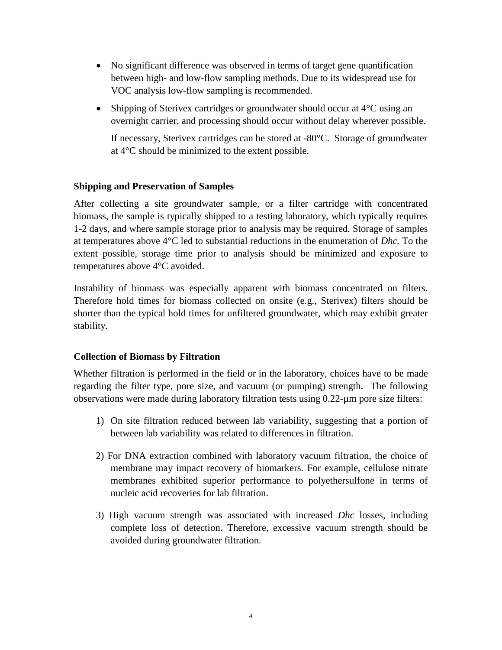- No significant difference was observed in terms of target gene quantification between high- and low-flow sampling methods. Due to its widespread use for VOC analysis low-flow sampling is recommended.
- Shipping of Sterivex cartridges or groundwater should occur at 4<sup>o</sup>C using an overnight carrier, and processing should occur without delay wherever possible.

If necessary, Sterivex cartridges can be stored at -80°C. Storage of groundwater at 4°C should be minimized to the extent possible.

#### **Shipping and Preservation of Samples**

After collecting a site groundwater sample, or a filter cartridge with concentrated biomass, the sample is typically shipped to a testing laboratory, which typically requires 1-2 days, and where sample storage prior to analysis may be required. Storage of samples at temperatures above 4°C led to substantial reductions in the enumeration of *Dhc.* To the extent possible, storage time prior to analysis should be minimized and exposure to temperatures above 4°C avoided.

Instability of biomass was especially apparent with biomass concentrated on filters. Therefore hold times for biomass collected on onsite (e.g., Sterivex) filters should be shorter than the typical hold times for unfiltered groundwater, which may exhibit greater stability.

#### **Collection of Biomass by Filtration**

Whether filtration is performed in the field or in the laboratory, choices have to be made regarding the filter type, pore size, and vacuum (or pumping) strength. The following observations were made during laboratory filtration tests using 0.22-µm pore size filters:

- 1) On site filtration reduced between lab variability, suggesting that a portion of between lab variability was related to differences in filtration.
- 2) For DNA extraction combined with laboratory vacuum filtration, the choice of membrane may impact recovery of biomarkers. For example, cellulose nitrate membranes exhibited superior performance to polyethersulfone in terms of nucleic acid recoveries for lab filtration.
- 3) High vacuum strength was associated with increased *Dhc* losses, including complete loss of detection. Therefore, excessive vacuum strength should be avoided during groundwater filtration.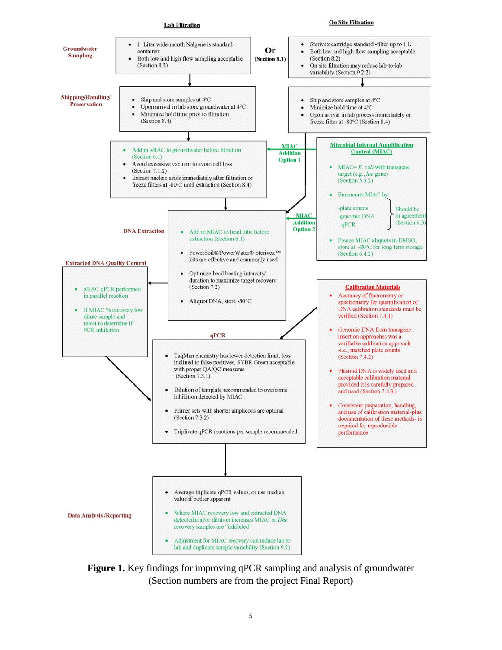

**Figure 1.** Key findings for improving qPCR sampling and analysis of groundwater (Section numbers are from the project Final Report)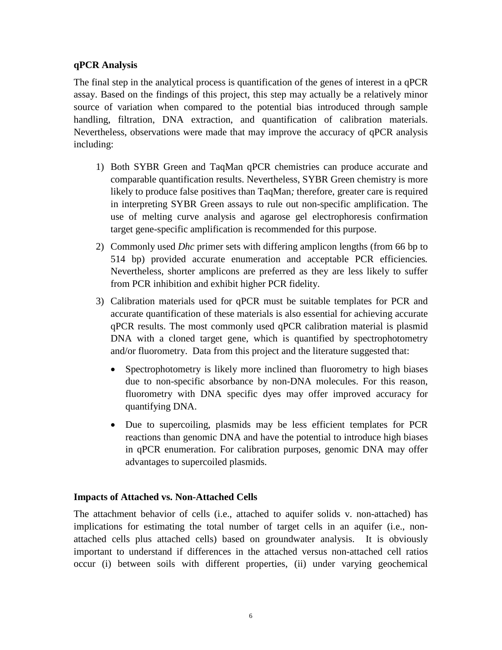#### **qPCR Analysis**

The final step in the analytical process is quantification of the genes of interest in a qPCR assay. Based on the findings of this project, this step may actually be a relatively minor source of variation when compared to the potential bias introduced through sample handling, filtration, DNA extraction, and quantification of calibration materials. Nevertheless, observations were made that may improve the accuracy of qPCR analysis including:

- 1) Both SYBR Green and TaqMan qPCR chemistries can produce accurate and comparable quantification results. Nevertheless, SYBR Green chemistry is more likely to produce false positives than TaqMan*;* therefore, greater care is required in interpreting SYBR Green assays to rule out non-specific amplification. The use of melting curve analysis and agarose gel electrophoresis confirmation target gene-specific amplification is recommended for this purpose.
- 2) Commonly used *Dhc* primer sets with differing amplicon lengths (from 66 bp to 514 bp) provided accurate enumeration and acceptable PCR efficiencies*.*  Nevertheless, shorter amplicons are preferred as they are less likely to suffer from PCR inhibition and exhibit higher PCR fidelity.
- 3) Calibration materials used for qPCR must be suitable templates for PCR and accurate quantification of these materials is also essential for achieving accurate qPCR results. The most commonly used qPCR calibration material is plasmid DNA with a cloned target gene, which is quantified by spectrophotometry and/or fluorometry. Data from this project and the literature suggested that:
	- Spectrophotometry is likely more inclined than fluorometry to high biases due to non-specific absorbance by non-DNA molecules. For this reason, fluorometry with DNA specific dyes may offer improved accuracy for quantifying DNA.
	- Due to supercoiling, plasmids may be less efficient templates for PCR reactions than genomic DNA and have the potential to introduce high biases in qPCR enumeration. For calibration purposes, genomic DNA may offer advantages to supercoiled plasmids.

#### **Impacts of Attached vs. Non-Attached Cells**

The attachment behavior of cells (i.e., attached to aquifer solids v. non-attached) has implications for estimating the total number of target cells in an aquifer (i.e., nonattached cells plus attached cells) based on groundwater analysis. It is obviously important to understand if differences in the attached versus non-attached cell ratios occur (i) between soils with different properties, (ii) under varying geochemical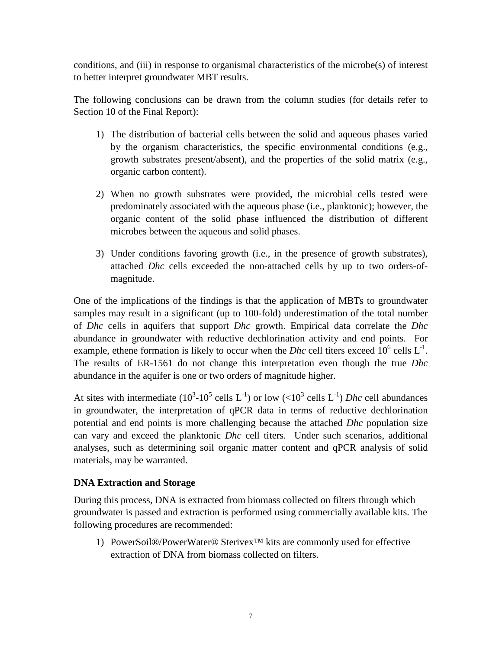conditions, and (iii) in response to organismal characteristics of the microbe(s) of interest to better interpret groundwater MBT results.

The following conclusions can be drawn from the column studies (for details refer to Section 10 of the Final Report):

- 1) The distribution of bacterial cells between the solid and aqueous phases varied by the organism characteristics, the specific environmental conditions (e.g., growth substrates present/absent), and the properties of the solid matrix (e.g., organic carbon content).
- 2) When no growth substrates were provided, the microbial cells tested were predominately associated with the aqueous phase (i.e., planktonic); however, the organic content of the solid phase influenced the distribution of different microbes between the aqueous and solid phases.
- 3) Under conditions favoring growth (i.e., in the presence of growth substrates), attached *Dhc* cells exceeded the non-attached cells by up to two orders-ofmagnitude.

One of the implications of the findings is that the application of MBTs to groundwater samples may result in a significant (up to 100-fold) underestimation of the total number of *Dhc* cells in aquifers that support *Dhc* growth. Empirical data correlate the *Dhc* abundance in groundwater with reductive dechlorination activity and end points. For example, ethene formation is likely to occur when the *Dhc* cell titers exceed  $10^6$  cells  $L^{-1}$ . The results of ER-1561 do not change this interpretation even though the true *Dhc* abundance in the aquifer is one or two orders of magnitude higher.

At sites with intermediate  $(10^3 \text{-} 10^5 \text{ cells L}^{-1})$  or low  $(<10^3 \text{ cells L}^{-1})$  *Dhc* cell abundances in groundwater, the interpretation of qPCR data in terms of reductive dechlorination potential and end points is more challenging because the attached *Dhc* population size can vary and exceed the planktonic *Dhc* cell titers. Under such scenarios, additional analyses, such as determining soil organic matter content and qPCR analysis of solid materials, may be warranted.

#### **DNA Extraction and Storage**

During this process, DNA is extracted from biomass collected on filters through which groundwater is passed and extraction is performed using commercially available kits. The following procedures are recommended:

1) PowerSoil®/PowerWater® Sterivex™ kits are commonly used for effective extraction of DNA from biomass collected on filters.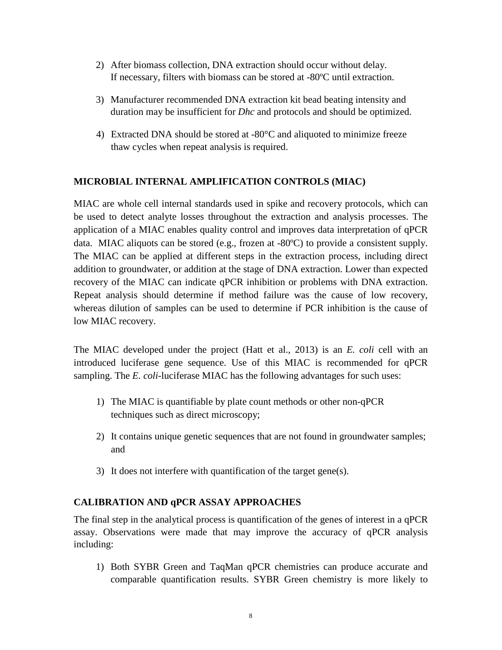- 2) After biomass collection, DNA extraction should occur without delay. If necessary, filters with biomass can be stored at -80ºC until extraction.
- 3) Manufacturer recommended DNA extraction kit bead beating intensity and duration may be insufficient for *Dhc* and protocols and should be optimized.
- 4) Extracted DNA should be stored at -80°C and aliquoted to minimize freeze thaw cycles when repeat analysis is required.

### **MICROBIAL INTERNAL AMPLIFICATION CONTROLS (MIAC)**

MIAC are whole cell internal standards used in spike and recovery protocols, which can be used to detect analyte losses throughout the extraction and analysis processes. The application of a MIAC enables quality control and improves data interpretation of qPCR data. MIAC aliquots can be stored (e.g., frozen at -80ºC) to provide a consistent supply. The MIAC can be applied at different steps in the extraction process, including direct addition to groundwater, or addition at the stage of DNA extraction. Lower than expected recovery of the MIAC can indicate qPCR inhibition or problems with DNA extraction. Repeat analysis should determine if method failure was the cause of low recovery, whereas dilution of samples can be used to determine if PCR inhibition is the cause of low MIAC recovery.

The MIAC developed under the project (Hatt et al., 2013) is an *E. coli* cell with an introduced luciferase gene sequence. Use of this MIAC is recommended for qPCR sampling. The *E. coli*-luciferase MIAC has the following advantages for such uses:

- 1) The MIAC is quantifiable by plate count methods or other non-qPCR techniques such as direct microscopy;
- 2) It contains unique genetic sequences that are not found in groundwater samples; and
- 3) It does not interfere with quantification of the target gene(s).

## **CALIBRATION AND qPCR ASSAY APPROACHES**

The final step in the analytical process is quantification of the genes of interest in a qPCR assay. Observations were made that may improve the accuracy of qPCR analysis including:

1) Both SYBR Green and TaqMan qPCR chemistries can produce accurate and comparable quantification results. SYBR Green chemistry is more likely to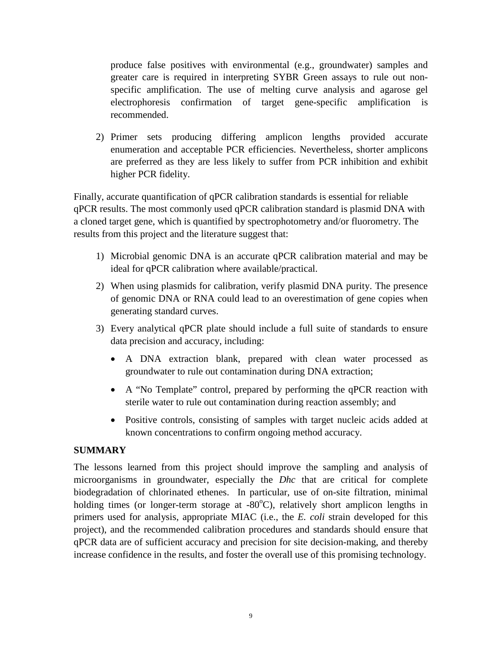produce false positives with environmental (e.g., groundwater) samples and greater care is required in interpreting SYBR Green assays to rule out nonspecific amplification. The use of melting curve analysis and agarose gel electrophoresis confirmation of target gene-specific amplification is recommended.

2) Primer sets producing differing amplicon lengths provided accurate enumeration and acceptable PCR efficiencies. Nevertheless, shorter amplicons are preferred as they are less likely to suffer from PCR inhibition and exhibit higher PCR fidelity.

Finally, accurate quantification of qPCR calibration standards is essential for reliable qPCR results. The most commonly used qPCR calibration standard is plasmid DNA with a cloned target gene, which is quantified by spectrophotometry and/or fluorometry. The results from this project and the literature suggest that:

- 1) Microbial genomic DNA is an accurate qPCR calibration material and may be ideal for qPCR calibration where available/practical.
- 2) When using plasmids for calibration, verify plasmid DNA purity. The presence of genomic DNA or RNA could lead to an overestimation of gene copies when generating standard curves.
- 3) Every analytical qPCR plate should include a full suite of standards to ensure data precision and accuracy, including:
	- A DNA extraction blank, prepared with clean water processed as groundwater to rule out contamination during DNA extraction;
	- A "No Template" control, prepared by performing the qPCR reaction with sterile water to rule out contamination during reaction assembly; and
	- Positive controls, consisting of samples with target nucleic acids added at known concentrations to confirm ongoing method accuracy.

#### **SUMMARY**

The lessons learned from this project should improve the sampling and analysis of microorganisms in groundwater, especially the *Dhc* that are critical for complete biodegradation of chlorinated ethenes. In particular, use of on-site filtration, minimal holding times (or longer-term storage at -80°C), relatively short amplicon lengths in primers used for analysis, appropriate MIAC (i.e., the *E. coli* strain developed for this project), and the recommended calibration procedures and standards should ensure that qPCR data are of sufficient accuracy and precision for site decision-making, and thereby increase confidence in the results, and foster the overall use of this promising technology.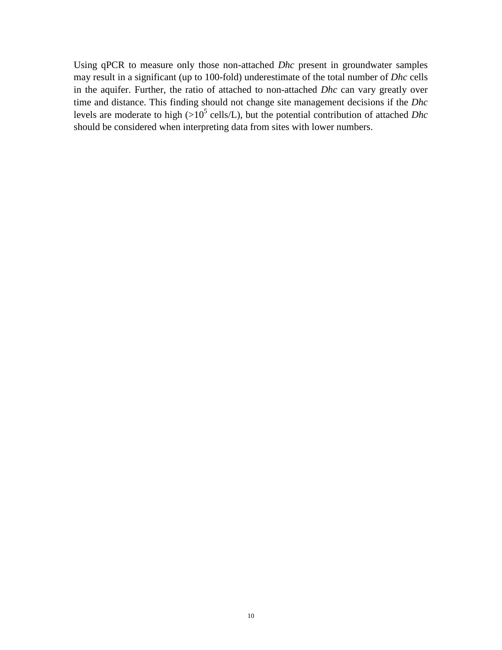Using qPCR to measure only those non-attached *Dhc* present in groundwater samples may result in a significant (up to 100-fold) underestimate of the total number of *Dhc* cells in the aquifer. Further, the ratio of attached to non-attached *Dhc* can vary greatly over time and distance. This finding should not change site management decisions if the *Dhc* levels are moderate to high  $(>10^5 \text{ cells/L})$ , but the potential contribution of attached *Dhc* should be considered when interpreting data from sites with lower numbers.